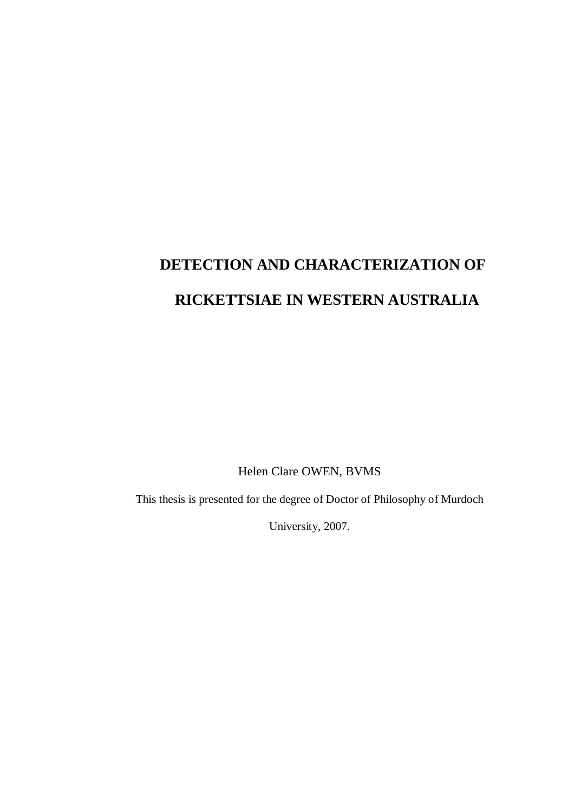# **DETECTION AND CHARACTERIZATION OF RICKETTSIAE IN WESTERN AUSTRALIA**

Helen Clare OWEN, BVMS

This thesis is presented for the degree of Doctor of Philosophy of Murdoch

University, 2007.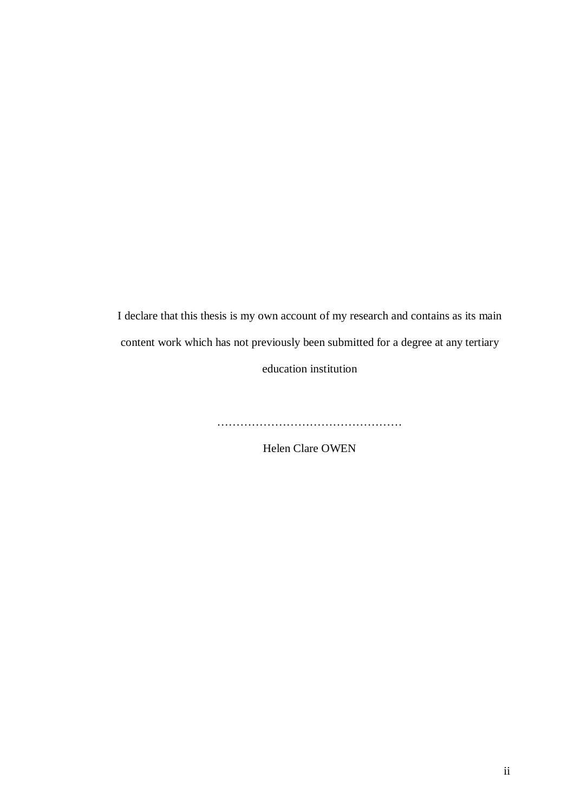I declare that this thesis is my own account of my research and contains as its main content work which has not previously been submitted for a degree at any tertiary education institution

…………………………………………

Helen Clare OWEN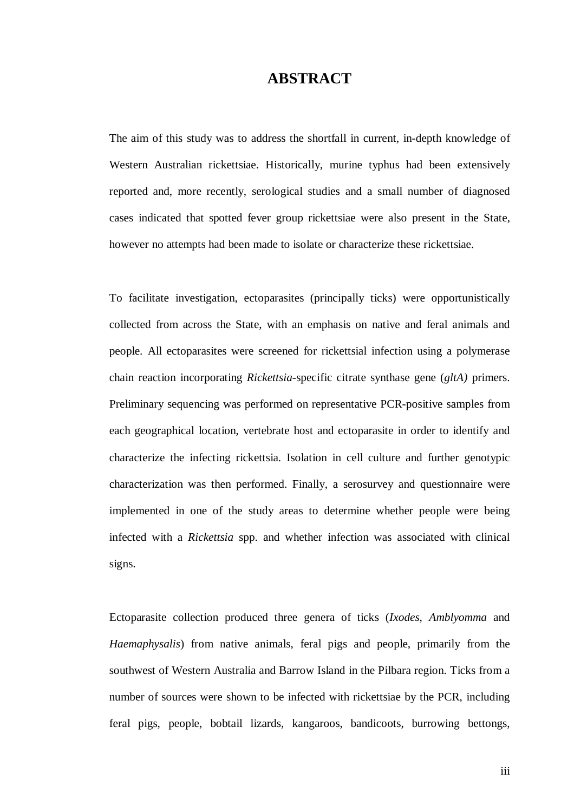#### **ABSTRACT**

The aim of this study was to address the shortfall in current, in-depth knowledge of Western Australian rickettsiae. Historically, murine typhus had been extensively reported and, more recently, serological studies and a small number of diagnosed cases indicated that spotted fever group rickettsiae were also present in the State, however no attempts had been made to isolate or characterize these rickettsiae.

To facilitate investigation, ectoparasites (principally ticks) were opportunistically collected from across the State, with an emphasis on native and feral animals and people. All ectoparasites were screened for rickettsial infection using a polymerase chain reaction incorporating *Rickettsia*-specific citrate synthase gene (*gltA)* primers. Preliminary sequencing was performed on representative PCR-positive samples from each geographical location, vertebrate host and ectoparasite in order to identify and characterize the infecting rickettsia. Isolation in cell culture and further genotypic characterization was then performed. Finally, a serosurvey and questionnaire were implemented in one of the study areas to determine whether people were being infected with a *Rickettsia* spp. and whether infection was associated with clinical signs.

Ectoparasite collection produced three genera of ticks (*Ixodes*, *Amblyomma* and *Haemaphysalis*) from native animals, feral pigs and people, primarily from the southwest of Western Australia and Barrow Island in the Pilbara region. Ticks from a number of sources were shown to be infected with rickettsiae by the PCR, including feral pigs, people, bobtail lizards, kangaroos, bandicoots, burrowing bettongs,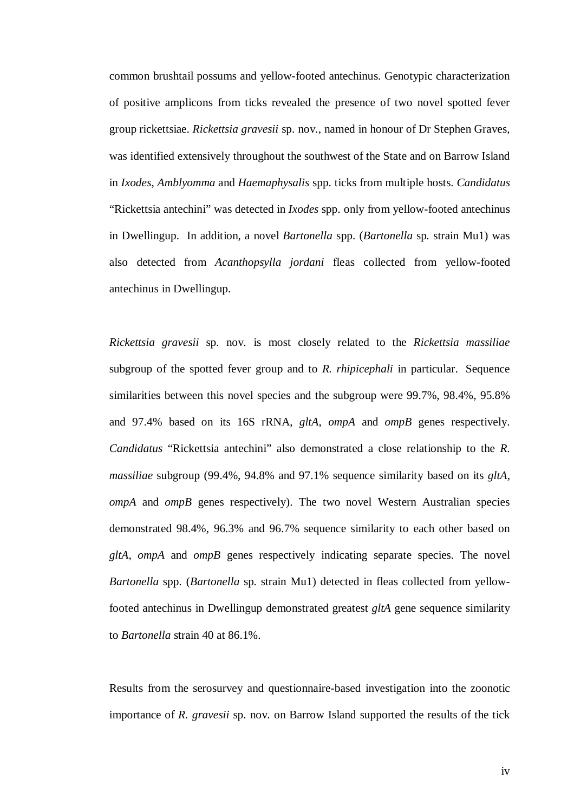common brushtail possums and yellow-footed antechinus. Genotypic characterization of positive amplicons from ticks revealed the presence of two novel spotted fever group rickettsiae. *Rickettsia gravesii* sp. nov*.*, named in honour of Dr Stephen Graves, was identified extensively throughout the southwest of the State and on Barrow Island in *Ixodes*, *Amblyomma* and *Haemaphysalis* spp. ticks from multiple hosts. *Candidatus*  "Rickettsia antechini" was detected in *Ixodes* spp. only from yellow-footed antechinus in Dwellingup. In addition, a novel *Bartonella* spp. (*Bartonella* sp*.* strain Mu1) was also detected from *Acanthopsylla jordani* fleas collected from yellow-footed antechinus in Dwellingup.

*Rickettsia gravesii* sp. nov*.* is most closely related to the *Rickettsia massiliae* subgroup of the spotted fever group and to *R. rhipicephali* in particular. Sequence similarities between this novel species and the subgroup were 99.7%, 98.4%, 95.8% and 97.4% based on its 16S rRNA, *gltA*, *ompA* and *ompB* genes respectively. *Candidatus* "Rickettsia antechini" also demonstrated a close relationship to the *R. massiliae* subgroup (99.4%, 94.8% and 97.1% sequence similarity based on its *gltA, ompA* and *ompB* genes respectively). The two novel Western Australian species demonstrated 98.4%, 96.3% and 96.7% sequence similarity to each other based on *gltA, ompA* and *ompB* genes respectively indicating separate species. The novel *Bartonella* spp. (*Bartonella* sp*.* strain Mu1) detected in fleas collected from yellowfooted antechinus in Dwellingup demonstrated greatest *gltA* gene sequence similarity to *Bartonella* strain 40 at 86.1%.

Results from the serosurvey and questionnaire-based investigation into the zoonotic importance of *R. gravesii* sp. nov*.* on Barrow Island supported the results of the tick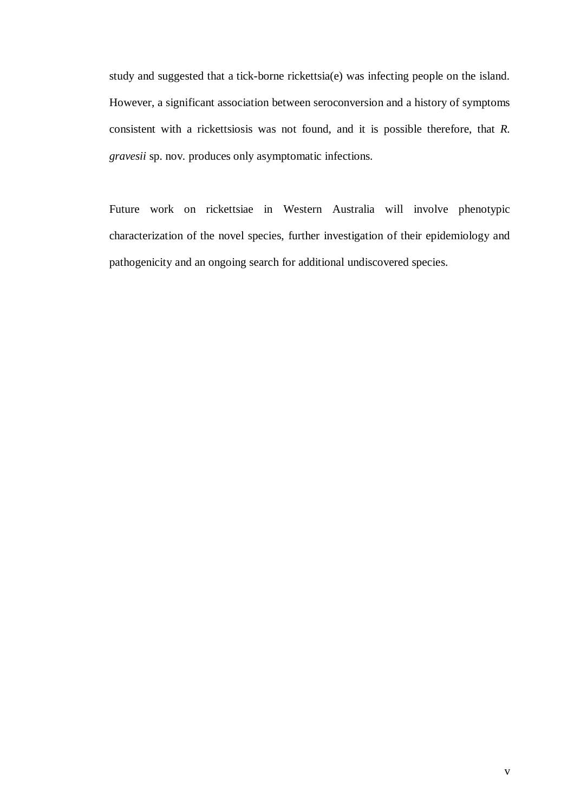study and suggested that a tick-borne rickettsia(e) was infecting people on the island. However, a significant association between seroconversion and a history of symptoms consistent with a rickettsiosis was not found, and it is possible therefore, that *R. gravesii* sp. nov*.* produces only asymptomatic infections.

Future work on rickettsiae in Western Australia will involve phenotypic characterization of the novel species, further investigation of their epidemiology and pathogenicity and an ongoing search for additional undiscovered species.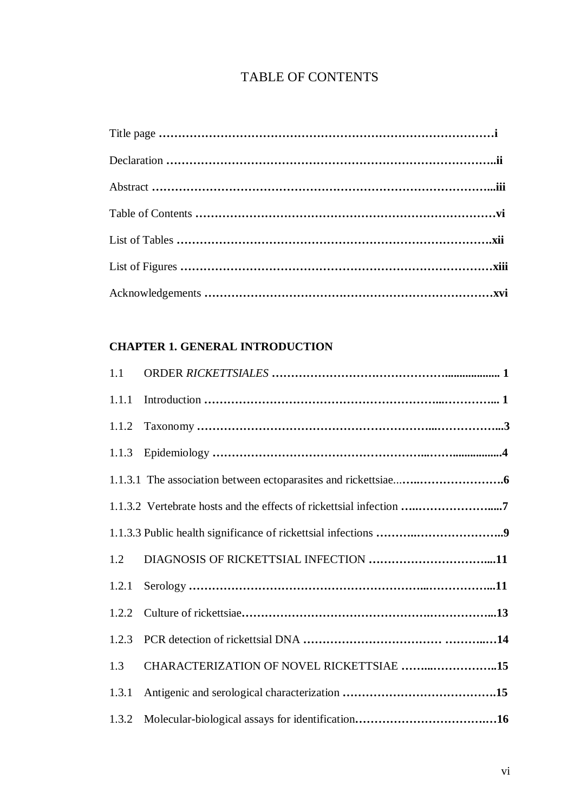## TABLE OF CONTENTS

### **CHAPTER 1. GENERAL INTRODUCTION**

| 1.1   |                                          |
|-------|------------------------------------------|
| 1.1.1 |                                          |
| 1.1.2 |                                          |
| 1.1.3 |                                          |
|       |                                          |
|       |                                          |
|       |                                          |
| 1.2   |                                          |
| 1.2.1 |                                          |
| 1.2.2 |                                          |
| 1.2.3 |                                          |
| 1.3   | CHARACTERIZATION OF NOVEL RICKETTSIAE 15 |
| 1.3.1 |                                          |
| 1.3.2 |                                          |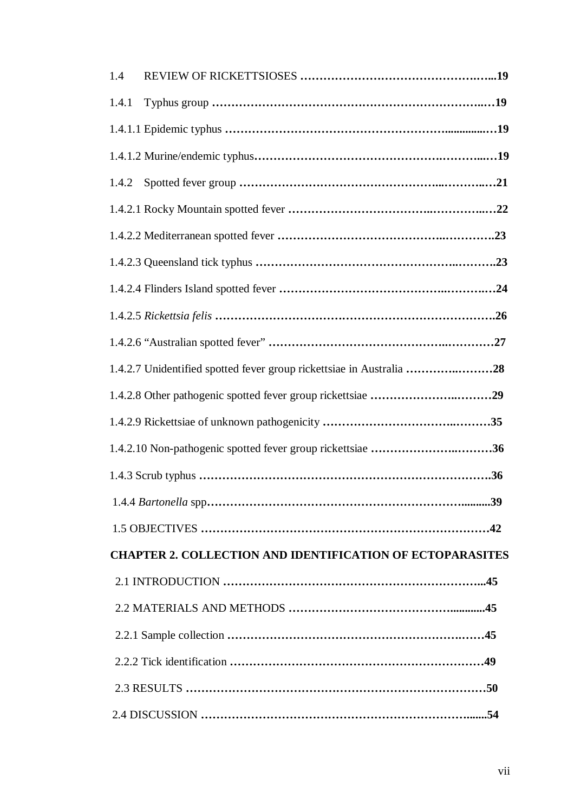| 1.4                                                                  |
|----------------------------------------------------------------------|
| 1.4.1                                                                |
|                                                                      |
|                                                                      |
| 1.4.2                                                                |
|                                                                      |
|                                                                      |
|                                                                      |
|                                                                      |
|                                                                      |
|                                                                      |
| 1.4.2.7 Unidentified spotted fever group rickettsiae in Australia 28 |
|                                                                      |
|                                                                      |
| 1.4.2.10 Non-pathogenic spotted fever group rickettsiae 36           |
|                                                                      |
|                                                                      |
|                                                                      |
| <b>CHAPTER 2. COLLECTION AND IDENTIFICATION OF ECTOPARASITES</b>     |
|                                                                      |
|                                                                      |
|                                                                      |
|                                                                      |
|                                                                      |
|                                                                      |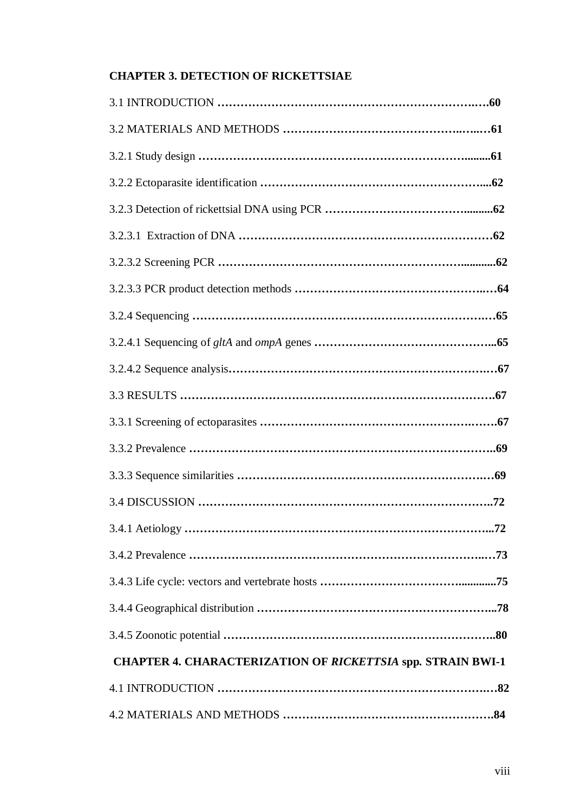#### **CHAPTER 3. DETECTION OF RICKETTSIAE**

| .72<br>3.4.1 Aetiology                                      |
|-------------------------------------------------------------|
|                                                             |
|                                                             |
|                                                             |
|                                                             |
| CHAPTER 4. CHARACTERIZATION OF RICKETTSIA spp. STRAIN BWI-1 |
|                                                             |
|                                                             |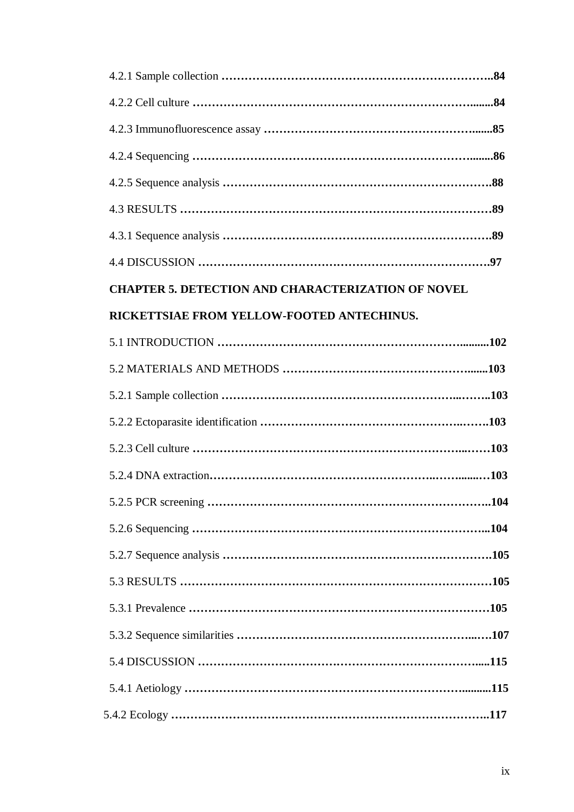| <b>CHAPTER 5. DETECTION AND CHARACTERIZATION OF NOVEL</b> |
|-----------------------------------------------------------|
| RICKETTSIAE FROM YELLOW-FOOTED ANTECHINUS.                |
|                                                           |
|                                                           |
|                                                           |
|                                                           |
|                                                           |
|                                                           |
|                                                           |
|                                                           |
|                                                           |
|                                                           |
|                                                           |
|                                                           |
|                                                           |
|                                                           |
|                                                           |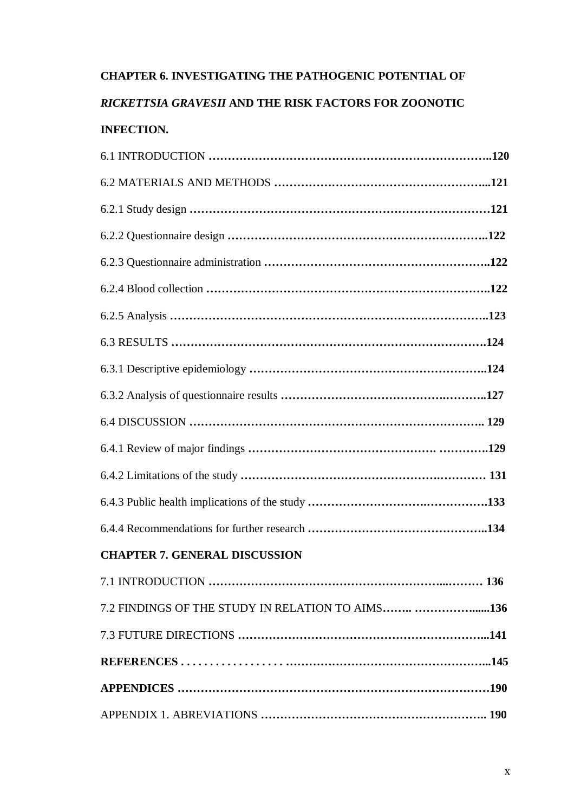# **CHAPTER 6. INVESTIGATING THE PATHOGENIC POTENTIAL OF**

## *RICKETTSIA GRAVESII* **AND THE RISK FACTORS FOR ZOONOTIC INFECTION.**

| <b>CHAPTER 7. GENERAL DISCUSSION</b>              |
|---------------------------------------------------|
| 7.1 INTRODUCTION<br>136                           |
| 7.2 FINDINGS OF THE STUDY IN RELATION TO AIMS 136 |
|                                                   |
|                                                   |
|                                                   |
|                                                   |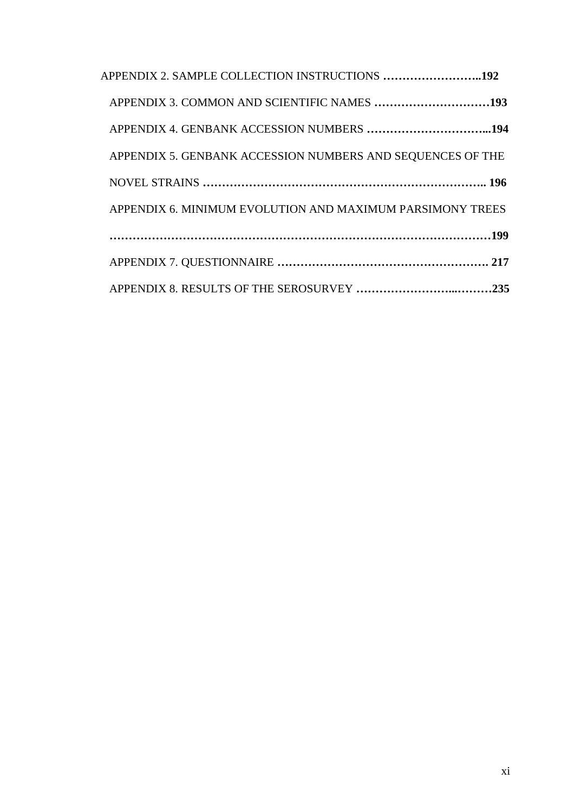| APPENDIX 2. SAMPLE COLLECTION INSTRUCTIONS 192             |
|------------------------------------------------------------|
| APPENDIX 3. COMMON AND SCIENTIFIC NAMES 193                |
|                                                            |
| APPENDIX 5. GENBANK ACCESSION NUMBERS AND SEQUENCES OF THE |
|                                                            |
| APPENDIX 6. MINIMUM EVOLUTION AND MAXIMUM PARSIMONY TREES  |
|                                                            |
|                                                            |
|                                                            |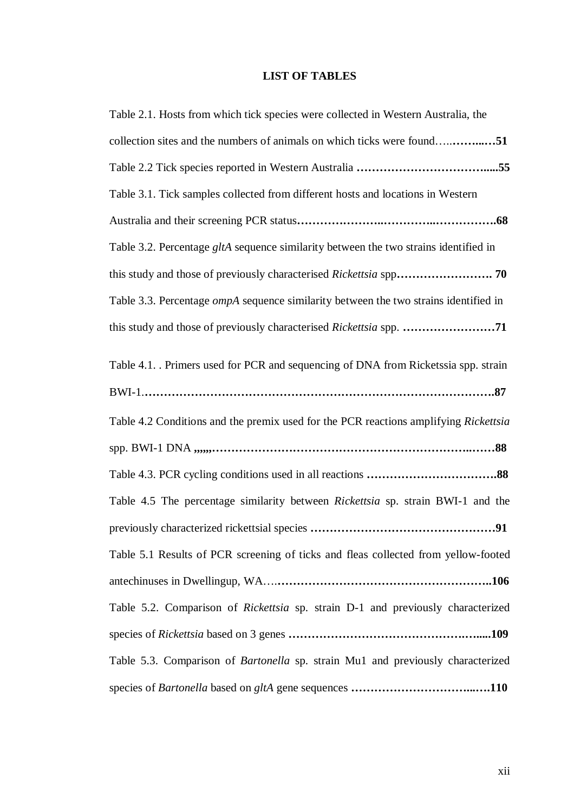#### **LIST OF TABLES**

| Table 2.1. Hosts from which tick species were collected in Western Australia, the           |
|---------------------------------------------------------------------------------------------|
| collection sites and the numbers of animals on which ticks were found51                     |
|                                                                                             |
| Table 3.1. Tick samples collected from different hosts and locations in Western             |
|                                                                                             |
| Table 3.2. Percentage gltA sequence similarity between the two strains identified in        |
| this study and those of previously characterised Rickettsia spp 70                          |
| Table 3.3. Percentage <i>ompA</i> sequence similarity between the two strains identified in |
| this study and those of previously characterised Rickettsia spp. 71                         |
| Table 4.1. Primers used for PCR and sequencing of DNA from Ricketssia spp. strain           |
|                                                                                             |
| Table 4.2 Conditions and the premix used for the PCR reactions amplifying Rickettsia        |
|                                                                                             |
|                                                                                             |
| Table 4.5 The percentage similarity between <i>Rickettsia</i> sp. strain BWI-1 and the      |
|                                                                                             |
| Table 5.1 Results of PCR screening of ticks and fleas collected from yellow-footed          |
|                                                                                             |
| Table 5.2. Comparison of Rickettsia sp. strain D-1 and previously characterized             |
|                                                                                             |
| Table 5.3. Comparison of Bartonella sp. strain Mu1 and previously characterized             |
|                                                                                             |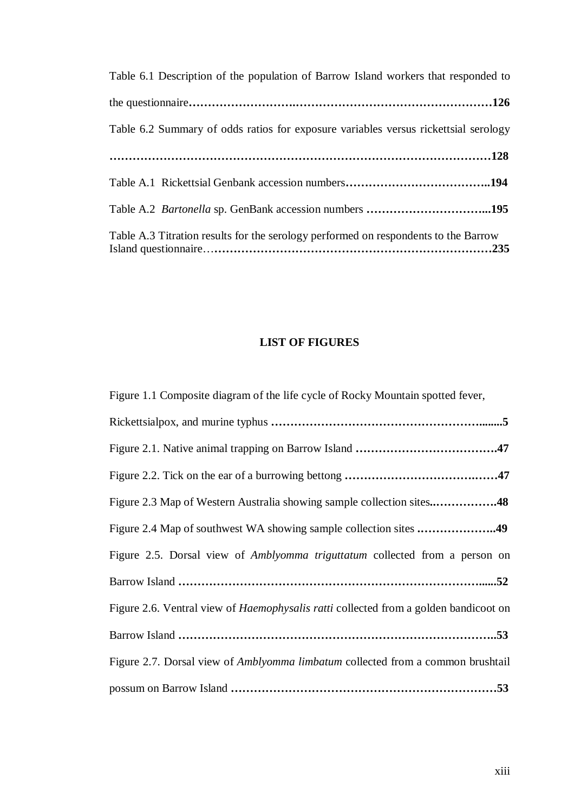| Table 6.1 Description of the population of Barrow Island workers that responded to  |
|-------------------------------------------------------------------------------------|
|                                                                                     |
| Table 6.2 Summary of odds ratios for exposure variables versus rickettsial serology |
|                                                                                     |
|                                                                                     |
| Table A.2 Bartonella sp. GenBank accession numbers 195                              |
| Table A.3 Titration results for the serology performed on respondents to the Barrow |

#### **LIST OF FIGURES**

Figure 1.1 Composite diagram of the life cycle of Rocky Mountain spotted fever,

| Figure 2.3 Map of Western Australia showing sample collection sites48                       |
|---------------------------------------------------------------------------------------------|
| Figure 2.4 Map of southwest WA showing sample collection sites 49                           |
| Figure 2.5. Dorsal view of Amblyomma triguttatum collected from a person on                 |
|                                                                                             |
| Figure 2.6. Ventral view of <i>Haemophysalis ratti</i> collected from a golden bandicoot on |
|                                                                                             |
| Figure 2.7. Dorsal view of <i>Amblyomma limbatum</i> collected from a common brushtail      |
|                                                                                             |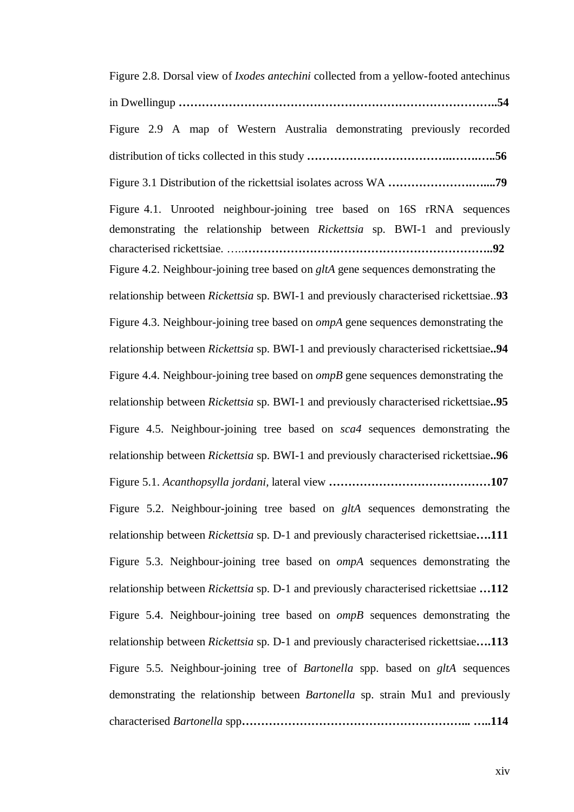Figure 2.8. Dorsal view of *Ixodes antechini* collected from a yellow-footed antechinus in Dwellingup **………………………………………………………………………..54**  Figure 2.9 A map of Western Australia demonstrating previously recorded distribution of ticks collected in this study **………………………………..…….…..56**  Figure 3.1 Distribution of the rickettsial isolates across WA **………………….…....79** Figure 4.1. Unrooted neighbour-joining tree based on 16S rRNA sequences demonstrating the relationship between *Rickettsia* sp. BWI-1 and previously characterised rickettsiae. …..**………………………………………………………..92** Figure 4.2. Neighbour-joining tree based on *gltA* gene sequences demonstrating the relationship between *Rickettsia* sp. BWI-1 and previously characterised rickettsiae..**93**  Figure 4.3. Neighbour-joining tree based on *ompA* gene sequences demonstrating the relationship between *Rickettsia* sp. BWI-1 and previously characterised rickettsiae**..94**  Figure 4.4. Neighbour-joining tree based on *ompB* gene sequences demonstrating the relationship between *Rickettsia* sp. BWI-1 and previously characterised rickettsiae**..95**  Figure 4.5. Neighbour-joining tree based on *sca4* sequences demonstrating the relationship between *Rickettsia* sp. BWI-1 and previously characterised rickettsiae**..96**  Figure 5.1. *Acanthopsylla jordani,* lateral view **……………………………………107**  Figure 5.2. Neighbour-joining tree based on *gltA* sequences demonstrating the relationship between *Rickettsia* sp. D-1 and previously characterised rickettsiae**….111**  Figure 5.3. Neighbour-joining tree based on *ompA* sequences demonstrating the relationship between *Rickettsia* sp. D-1 and previously characterised rickettsiae **…112**  Figure 5.4. Neighbour-joining tree based on *ompB* sequences demonstrating the relationship between *Rickettsia* sp. D-1 and previously characterised rickettsiae**….113**  Figure 5.5. Neighbour-joining tree of *Bartonella* spp. based on *gltA* sequences demonstrating the relationship between *Bartonella* sp. strain Mu1 and previously characterised *Bartonella* spp**…………………………………………………... …..114**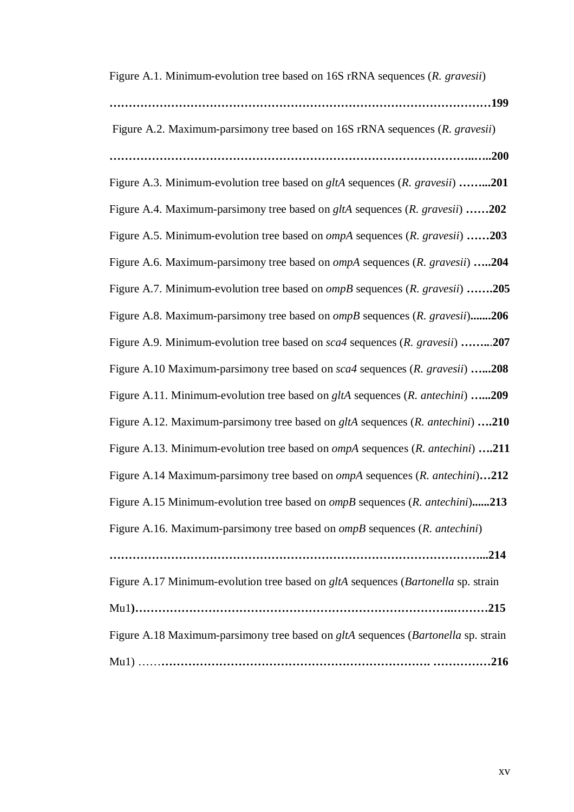Figure A.1. Minimum-evolution tree based on 16S rRNA sequences (*R. gravesii*)

**………………………………………………………………………………………199** 

 Figure A.2. Maximum-parsimony tree based on 16S rRNA sequences (*R. gravesii*) **…………………………………………………………………………………..…..200** 

Figure A.3. Minimum-evolution tree based on *gltA* sequences (*R. gravesii*) **……...201**  Figure A.4. Maximum-parsimony tree based on *gltA* sequences (*R. gravesii*) **……202** Figure A.5. Minimum-evolution tree based on *ompA* sequences (*R. gravesii*) **……203** Figure A.6. Maximum-parsimony tree based on *ompA* sequences (*R. gravesii*) **…..204** Figure A.7. Minimum-evolution tree based on *ompB* sequences (*R. gravesii*) **…….205** Figure A.8. Maximum-parsimony tree based on *ompB* sequences (*R. gravesii*)**.......206** Figure A.9. Minimum-evolution tree based on *sca4* sequences (*R. gravesii*) **……..**.**207** Figure A.10 Maximum-parsimony tree based on *sca4* sequences (*R. gravesii*) **…...208**  Figure A.11. Minimum-evolution tree based on *gltA* sequences (*R. antechini*) **…...209** Figure A.12. Maximum-parsimony tree based on *gltA* sequences (*R. antechini*) **….210** Figure A.13. Minimum-evolution tree based on *ompA* sequences (*R. antechini*) **….211** Figure A.14 Maximum-parsimony tree based on *ompA* sequences (*R. antechini*)**…212** Figure A.15 Minimum-evolution tree based on *ompB* sequences (*R. antechini*)**......213**  Figure A.16. Maximum-parsimony tree based on *ompB* sequences (*R. antechini*) **……………………………………………………………………………………...214**  Figure A.17 Minimum-evolution tree based on *gltA* sequences (*Bartonella* sp. strain Mu1**)………………………………………………………………………..………215**  Figure A.18 Maximum-parsimony tree based on *gltA* sequences (*Bartonella* sp. strain Mu1) ……**……………………………………………………………. ……………216**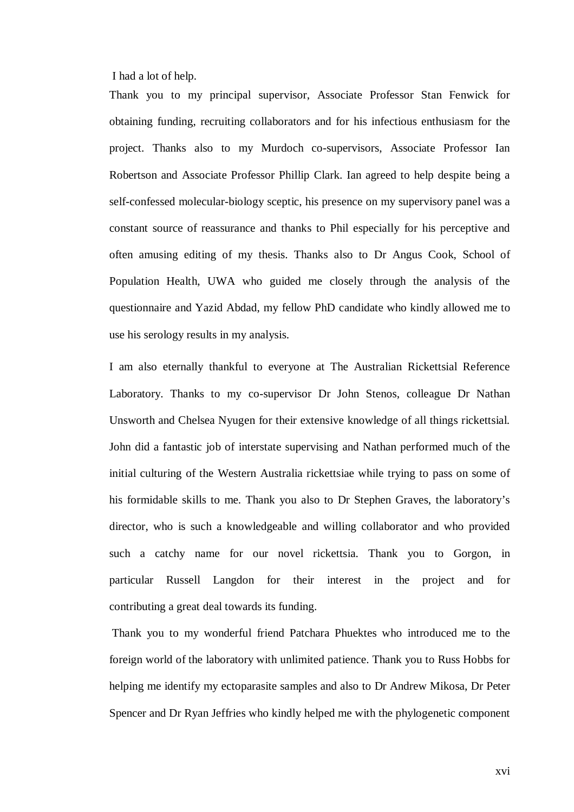I had a lot of help.

Thank you to my principal supervisor, Associate Professor Stan Fenwick for obtaining funding, recruiting collaborators and for his infectious enthusiasm for the project. Thanks also to my Murdoch co-supervisors, Associate Professor Ian Robertson and Associate Professor Phillip Clark. Ian agreed to help despite being a self-confessed molecular-biology sceptic, his presence on my supervisory panel was a constant source of reassurance and thanks to Phil especially for his perceptive and often amusing editing of my thesis. Thanks also to Dr Angus Cook, School of Population Health, UWA who guided me closely through the analysis of the questionnaire and Yazid Abdad, my fellow PhD candidate who kindly allowed me to use his serology results in my analysis.

I am also eternally thankful to everyone at The Australian Rickettsial Reference Laboratory. Thanks to my co-supervisor Dr John Stenos, colleague Dr Nathan Unsworth and Chelsea Nyugen for their extensive knowledge of all things rickettsial. John did a fantastic job of interstate supervising and Nathan performed much of the initial culturing of the Western Australia rickettsiae while trying to pass on some of his formidable skills to me. Thank you also to Dr Stephen Graves, the laboratory's director, who is such a knowledgeable and willing collaborator and who provided such a catchy name for our novel rickettsia. Thank you to Gorgon, in particular Russell Langdon for their interest in the project and for contributing a great deal towards its funding.

 Thank you to my wonderful friend Patchara Phuektes who introduced me to the foreign world of the laboratory with unlimited patience. Thank you to Russ Hobbs for helping me identify my ectoparasite samples and also to Dr Andrew Mikosa, Dr Peter Spencer and Dr Ryan Jeffries who kindly helped me with the phylogenetic component